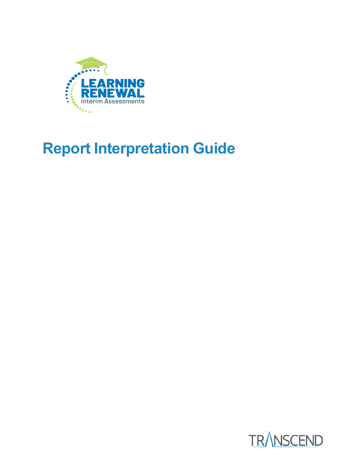

# **Report Interpretation Guide**

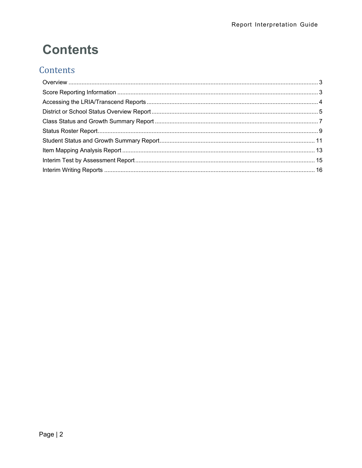## **Contents**

### Contents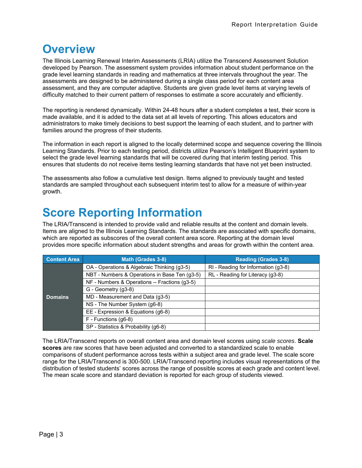### **Overview**

The Illinois Learning Renewal Interim Assessments (LRIA) utilize the Transcend Assessment Solution developed by Pearson. The assessment system provides information about student performance on the grade level learning standards in reading and mathematics at three intervals throughout the year. The assessments are designed to be administered during a single class period for each content area assessment, and they are computer adaptive. Students are given grade level items at varying levels of difficulty matched to their current pattern of responses to estimate a score accurately and efficiently.

The reporting is rendered dynamically. Within 24-48 hours after a student completes a test, their score is made available, and it is added to the data set at all levels of reporting. This allows educators and administrators to make timely decisions to best support the learning of each student, and to partner with families around the progress of their students.

The information in each report is aligned to the locally determined scope and sequence covering the Illinois Learning Standards. Prior to each testing period, districts utilize Pearson's Intelligent Blueprint system to select the grade level learning standards that will be covered during that interim testing period. This ensures that students do not receive items testing learning standards that have not yet been instructed.

The assessments also follow a cumulative test design. Items aligned to previously taught and tested standards are sampled throughout each subsequent interim test to allow for a measure of within-year growth.

## **Score Reporting Information**

The LRIA/Transcend is intended to provide valid and reliable results at the content and domain levels. Items are aligned to the Illinois Learning Standards. The standards are associated with specific domains, which are reported as subscores of the overall content area score. Reporting at the domain level provides more specific information about student strengths and areas for growth within the content area.

| <b>Content Area</b> | Math (Grades 3-8)                             | <b>Reading (Grades 3-8)</b>         |
|---------------------|-----------------------------------------------|-------------------------------------|
|                     | OA - Operations & Algebraic Thinking (g3-5)   | RI - Reading for Information (g3-8) |
|                     | NBT - Numbers & Operations in Base Ten (g3-5) | RL - Reading for Literacy (g3-8)    |
|                     | NF - Numbers & Operations -- Fractions (g3-5) |                                     |
|                     | G - Geometry (q3-8)                           |                                     |
| <b>Domains</b>      | MD - Measurement and Data (g3-5)              |                                     |
|                     | NS - The Number System (g6-8)                 |                                     |
|                     | EE - Expression & Equations (g6-8)            |                                     |
|                     | $F -$ Functions (q6-8)                        |                                     |
|                     | SP - Statistics & Probability (q6-8)          |                                     |

The LRIA/Transcend reports on overall content area and domain level scores using *scale scores*. **Scale scores** are raw scores that have been adjusted and converted to a standardized scale to enable comparisons of student performance across tests within a subject area and grade level. The scale score range for the LRIA/Transcend is 300-500. LRIA/Transcend reporting includes visual representations of the distribution of tested students' scores across the range of possible scores at each grade and content level. The mean scale score and standard deviation is reported for each group of students viewed.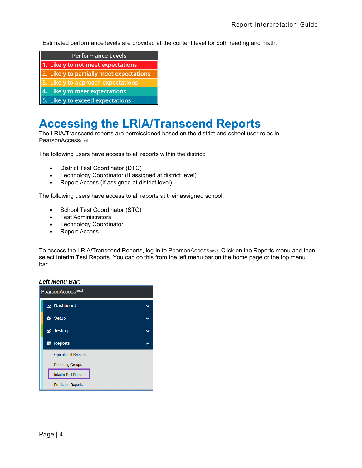Estimated performance levels are provided at the content level for both reading and math.

- **Performance Levels**
- 1. Likely to not meet expectations
- 2. Likely to partially meet expectations
- 3. Likely to approach expectations
- 4. Likely to meet expectations
- 5. Likely to exceed expectations

### **Accessing the LRIA/Transcend Reports**

The LRIA/Transcend reports are permissioned based on the district and school user roles in PearsonAccessnext.

The following users have access to all reports within the district:

- District Test Coordinator (DTC)
- Technology Coordinator (If assigned at district level)
- Report Access (If assigned at district level)

The following users have access to all reports at their assigned school:

- School Test Coordinator (STC)
- Test Administrators
- Technology Coordinator
- Report Access

To access the LRIA/Transcend Reports, log-in to PearsonAccessnext. Click on the Reports menu and then select Interim Test Reports. You can do this from the left menu bar on the home page or the top menu bar.



| PearsonAccess <sup>next</sup> |  |
|-------------------------------|--|
| <b>I</b> Dashboard            |  |
| <b>☆</b> Setup                |  |
| $\triangleright$ Testing      |  |
| <b>E</b> Reports              |  |
| <b>Operational Reports</b>    |  |
| <b>Reporting Groups</b>       |  |
| <b>Interim Test Reports</b>   |  |
| <b>Published Reports</b>      |  |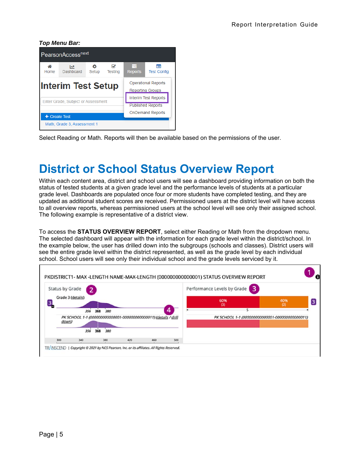*Top Menu Bar:* 



Select Reading or Math. Reports will then be available based on the permissions of the user.

## **District or School Status Overview Report**

Within each content area, district and school users will see a dashboard providing information on both the status of tested students at a given grade level and the performance levels of students at a particular grade level. Dashboards are populated once four or more students have completed testing, and they are updated as additional student scores are received. Permissioned users at the district level will have access to all overview reports, whereas permissioned users at the school level will see only their assigned school. The following example is representative of a district view.

To access the **STATUS OVERVIEW REPORT**, select either Reading or Math from the dropdown menu. The selected dashboard will appear with the information for each grade level within the district/school. In the example below, the user has drilled down into the subgroups (schools and classes). District users will see the entire grade level within the district represented, as well as the grade level by each individual school. School users will see only their individual school and the grade levels serviced by it.

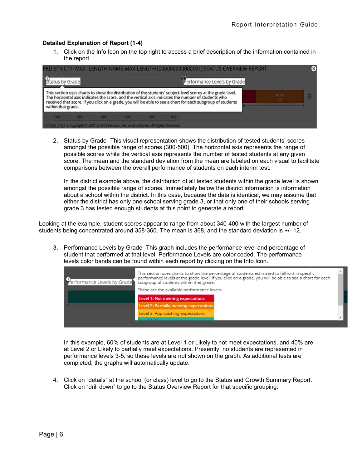#### **Detailed Explanation of Report (1-4)**

1. Click on the Info Icon on the top right to access a brief description of the information contained in the report.



2. Status by Grade- This visual representation shows the distribution of tested students' scores amongst the possible range of scores (300-500). The horizontal axis represents the range of possible scores while the vertical axis represents the number of tested students at any given score. The mean and the standard deviation from the mean are labeled on each visual to facilitate comparisons between the overall performance of students on each interim test.

In the district example above, the distribution of all tested students within the grade level is shown amongst the possible range of scores. Immediately below the district information is information about a school within the district. In this case, because the data is identical, we may assume that either the district has only one school serving grade 3, or that only one of their schools serving grade 3 has tested enough students at this point to generate a report.

Looking at the example, student scores appear to range from about 340-400 with the largest number of students being concentrated around 358-360. The mean is 368, and the standard deviation is +/- 12.

3. Performance Levels by Grade- This graph includes the performance level and percentage of student that performed at that level. Performance Levels are color coded. The performance levels color bands can be found within each report by clicking on the Info Icon.

| <b>O</b> erformance Levels by Grade | This section uses charts to show the percentage of students estimated to fall within specific<br>performance levels at the grade level. If you click on a grade, you will be able to see a chart for each<br>subgroup of students within that grade.<br>These are the available performance levels: |  |
|-------------------------------------|-----------------------------------------------------------------------------------------------------------------------------------------------------------------------------------------------------------------------------------------------------------------------------------------------------|--|
|                                     | Level 1: Not meeting expectations<br>Level 2: Partially meeting expectations<br>Level 3: Approaching expectations                                                                                                                                                                                   |  |
|                                     |                                                                                                                                                                                                                                                                                                     |  |

In this example, 60% of students are at Level 1 or Likely to not meet expectations, and 40% are at Level 2 or Likely to partially meet expectations. Presently, no students are represented in performance levels 3-5, so these levels are not shown on the graph. As additional tests are completed, the graphs will automatically update.

4. Click on "details" at the school (or class) level to go to the Status and Growth Summary Report. Click on "drill down" to go to the Status Overview Report for that specific grouping.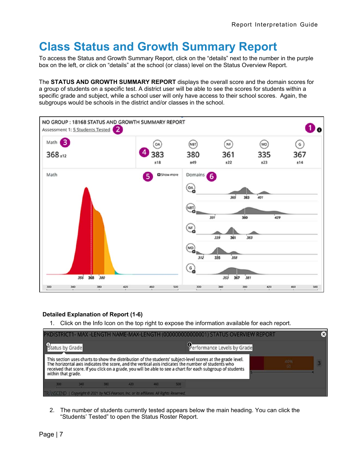### **Class Status and Growth Summary Report**

To access the Status and Growth Summary Report, click on the "details" next to the number in the purple box on the left, or click on "details" at the school (or class) level on the Status Overview Report.

The **STATUS AND GROWTH SUMMARY REPORT** displays the overall score and the domain scores for a group of students on a specific test. A district user will be able to see the scores for students within a specific grade and subject, while a school user will only have access to their school scores. Again, the subgroups would be schools in the district and/or classes in the school.



#### **Detailed Explanation of Report (1-6)**

1. Click on the Info Icon on the top right to expose the information available for each report.

|                    |     |                                                                                            |     |     |     | PKDISTRICT1- MAX-LENGTH NAME-MAX-LENGTH (000000000000001) STATUS OVERVIEW REPORT                                                                                                                                                                                                                                                  |  |            | × |
|--------------------|-----|--------------------------------------------------------------------------------------------|-----|-----|-----|-----------------------------------------------------------------------------------------------------------------------------------------------------------------------------------------------------------------------------------------------------------------------------------------------------------------------------------|--|------------|---|
| Status by Grade    |     |                                                                                            |     |     |     | Performance Levels by Grade                                                                                                                                                                                                                                                                                                       |  |            |   |
| within that grade. |     |                                                                                            |     |     |     | This section uses charts to show the distribution of the students' subject-level scores at the grade level.<br>The horizontal axis indicates the score, and the vertical axis indicates the number of students who<br>received that score. If you click on a grade, you will be able to see a chart for each subgroup of students |  | 40%<br>(2) |   |
| 300                | 340 | 1350                                                                                       | 420 | 460 | 500 |                                                                                                                                                                                                                                                                                                                                   |  |            |   |
|                    |     | TR/ NSCEND   Copyright © 2021 by NCS Pearson, Inc. or its affiliates. All Rights Reserved. |     |     |     |                                                                                                                                                                                                                                                                                                                                   |  |            |   |

2. The number of students currently tested appears below the main heading. You can click the "Students' Tested" to open the Status Roster Report.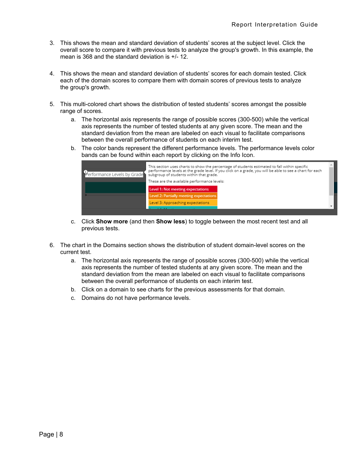- 3. This shows the mean and standard deviation of students' scores at the subject level. Click the overall score to compare it with previous tests to analyze the group's growth. In this example, the mean is 368 and the standard deviation is +/- 12.
- 4. This shows the mean and standard deviation of students' scores for each domain tested. Click each of the domain scores to compare them with domain scores of previous tests to analyze the group's growth.
- 5. This multi-colored chart shows the distribution of tested students' scores amongst the possible range of scores.
	- a. The horizontal axis represents the range of possible scores (300-500) while the vertical axis represents the number of tested students at any given score. The mean and the standard deviation from the mean are labeled on each visual to facilitate comparisons between the overall performance of students on each interim test.
	- b. The color bands represent the different performance levels. The performance levels color bands can be found within each report by clicking on the Info Icon.



- c. Click **Show more** (and then **Show less**) to toggle between the most recent test and all previous tests.
- 6. The chart in the Domains section shows the distribution of student domain-level scores on the current test.
	- a. The horizontal axis represents the range of possible scores (300-500) while the vertical axis represents the number of tested students at any given score. The mean and the standard deviation from the mean are labeled on each visual to facilitate comparisons between the overall performance of students on each interim test.
	- b. Click on a domain to see charts for the previous assessments for that domain.
	- c. Domains do not have performance levels.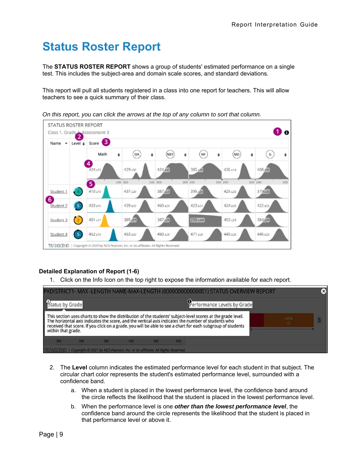## **Status Roster Report**

The **STATUS ROSTER REPORT** shows a group of students' estimated performance on a single test. This includes the subject-area and domain scale scores, and standard deviations.

This report will pull all students registered in a class into one report for teachers. This will allow teachers to see a quick summary of their class.



*On this report, you can click the arrows at the top of any column to sort that column.*

#### **Detailed Explanation of Report (1-6)**

1. Click on the Info Icon on the top right to expose the information available for each report.

|                                                                                           |     |      |     |     | PKDISTRICT1- MAX-LENGTH NAME-MAX-LENGTH (0000000000000001) STATUS OVERVIEW REPORT                                                                                                                                                                                                                                                 |                             |            |  |
|-------------------------------------------------------------------------------------------|-----|------|-----|-----|-----------------------------------------------------------------------------------------------------------------------------------------------------------------------------------------------------------------------------------------------------------------------------------------------------------------------------------|-----------------------------|------------|--|
| <b>P</b><br>Status by Grade                                                               |     |      |     |     |                                                                                                                                                                                                                                                                                                                                   | Performance Levels by Grade |            |  |
| within that grade.                                                                        |     |      |     |     | This section uses charts to show the distribution of the students' subject-level scores at the grade level.<br>The horizontal axis indicates the score, and the vertical axis indicates the number of students who<br>received that score. If you click on a grade, you will be able to see a chart for each subgroup of students |                             | 40%<br>(2) |  |
| 300                                                                                       | 340 | 1380 | 420 | 460 | 500                                                                                                                                                                                                                                                                                                                               |                             |            |  |
| TR/NSCEND   Copyright © 2021 by NCS Pearson, Inc. or its affiliates. All Rights Reserved. |     |      |     |     |                                                                                                                                                                                                                                                                                                                                   |                             |            |  |

- 2. The **Level** column indicates the estimated performance level for each student in that subject. The circular chart color represents the student's estimated performance level, surrounded with a confidence band.
	- a. When a student is placed in the lowest performance level, the confidence band around the circle reflects the likelihood that the student is placed in the lowest performance level.
	- b. When the performance level is one *other than the lowest performance level*, the confidence band around the circle represents the likelihood that the student is placed in that performance level or above it.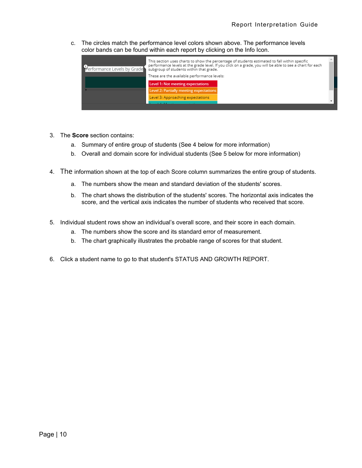c. The circles match the performance level colors shown above. The performance levels color bands can be found within each report by clicking on the Info Icon.



- 3. The **Score** section contains:
	- a. Summary of entire group of students (See 4 below for more information)
	- b. Overall and domain score for individual students (See 5 below for more information)
- 4. The information shown at the top of each Score column summarizes the entire group of students.
	- a. The numbers show the mean and standard deviation of the students' scores.
	- b. The chart shows the distribution of the students' scores. The horizontal axis indicates the score, and the vertical axis indicates the number of students who received that score.
- 5. Individual student rows show an individual's overall score, and their score in each domain.
	- a. The numbers show the score and its standard error of measurement.
	- b. The chart graphically illustrates the probable range of scores for that student.
- 6. Click a student name to go to that student's STATUS AND GROWTH REPORT.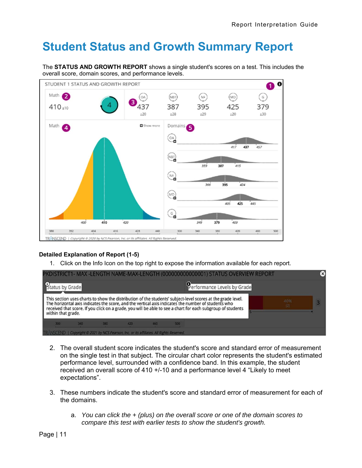### **Student Status and Growth Summary Report**

The **STATUS AND GROWTH REPORT** shows a single student's scores on a test. This includes the overall score, domain scores, and performance levels.



#### **Detailed Explanation of Report (1-5)**

1. Click on the Info Icon on the top right to expose the information available for each report.

|                                                                                            |     |        |     |     |     |                                                                                                                                                                                                                                                                                                                                   | PKDISTRICT1- MAX-LENGTH NAME-MAX-LENGTH (0000000000000001) STATUS OVERVIEW REPORT |            | × |
|--------------------------------------------------------------------------------------------|-----|--------|-----|-----|-----|-----------------------------------------------------------------------------------------------------------------------------------------------------------------------------------------------------------------------------------------------------------------------------------------------------------------------------------|-----------------------------------------------------------------------------------|------------|---|
| <b>O</b> Status by Grade                                                                   |     |        |     |     |     |                                                                                                                                                                                                                                                                                                                                   | Performance Levels by Grade                                                       |            |   |
| within that grade.                                                                         |     |        |     |     |     | This section uses charts to show the distribution of the students' subject-level scores at the grade level.<br>The horizontal axis indicates the score, and the vertical axis indicates the number of students who<br>received that score. If you click on a grade, you will be able to see a chart for each subgroup of students |                                                                                   | 40%<br>(2) |   |
| 300                                                                                        | 340 | $-380$ | 420 | 460 | 500 |                                                                                                                                                                                                                                                                                                                                   |                                                                                   |            |   |
| TR/ NSCEND   Copyright @ 2021 by NCS Pearson, Inc. or its affiliates. All Rights Reserved. |     |        |     |     |     |                                                                                                                                                                                                                                                                                                                                   |                                                                                   |            |   |

- 2. The overall student score indicates the student's score and standard error of measurement on the single test in that subject. The circular chart color represents the student's estimated performance level, surrounded with a confidence band. In this example, the student received an overall score of 410 +/-10 and a performance level 4 "Likely to meet expectations".
- 3. These numbers indicate the student's score and standard error of measurement for each of the domains.
	- a. *You can click the + (plus) on the overall score or one of the domain scores to compare this test with earlier tests to show the student's growth.*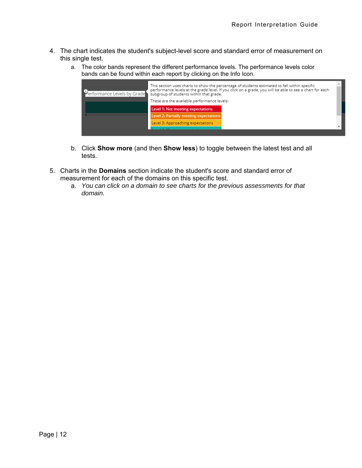- 4. The chart indicates the student's subject-level score and standard error of measurement on this single test.
	- a. The color bands represent the different performance levels. The performance levels color bands can be found within each report by clicking on the Info Icon.



- b. Click **Show more** (and then **Show less**) to toggle between the latest test and all tests.
- 5. Charts in the **Domains** section indicate the student's score and standard error of measurement for each of the domains on this specific test.
	- a. *You can click on a domain to see charts for the previous assessments for that domain.*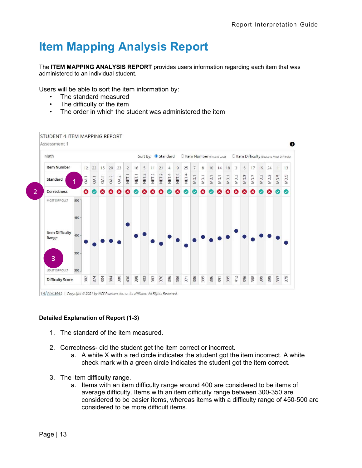## **Item Mapping Analysis Report**

The **ITEM MAPPING ANALYSIS REPORT** provides users information regarding each item that was administered to an individual student.

Users will be able to sort the item information by:

- The standard measured
- The difficulty of the item
- The order in which the student was administered the item



#### **Detailed Explanation of Report (1-3)**

- 1. The standard of the item measured.
- 2. Correctness- did the student get the item correct or incorrect.
	- a. A white X with a red circle indicates the student got the item incorrect. A white check mark with a green circle indicates the student got the item correct.
- 3. The item difficulty range.
	- a. Items with an item difficulty range around 400 are considered to be items of average difficulty. Items with an item difficulty range between 300-350 are considered to be easier items, whereas items with a difficulty range of 450-500 are considered to be more difficult items.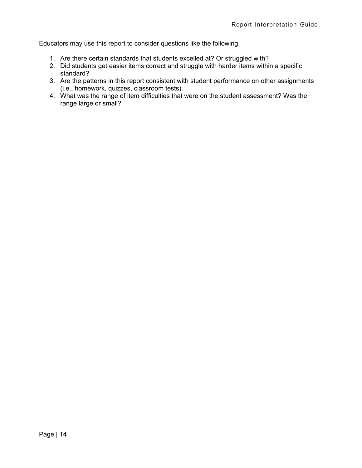Educators may use this report to consider questions like the following:

- 1. Are there certain standards that students excelled at? Or struggled with?
- 2. Did students get easier items correct and struggle with harder items within a specific standard?
- 3. Are the patterns in this report consistent with student performance on other assignments (i.e., homework, quizzes, classroom tests).
- 4. What was the range of item difficulties that were on the student assessment? Was the range large or small?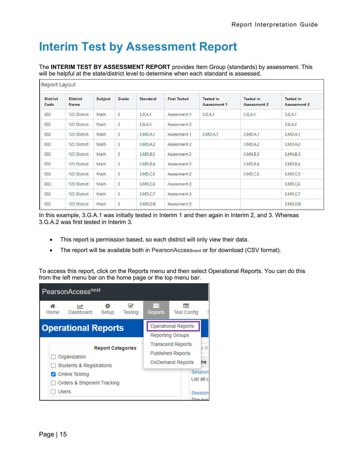### **Interim Test by Assessment Report**

The **INTERIM TEST BY ASSESSMENT REPORT** provides Item Group (standards) by assessment. This will be helpful at the state/district level to determine when each standard is assessed.

| Report Layout           |                                |         |       |                 |                     |                                         |                                         |                                         |
|-------------------------|--------------------------------|---------|-------|-----------------|---------------------|-----------------------------------------|-----------------------------------------|-----------------------------------------|
| <b>District</b><br>Code | <b>District</b><br><b>Name</b> | Subject | Grade | <b>Standard</b> | <b>First Tested</b> | <b>Tested in</b><br><b>Assessment 1</b> | <b>Tested in</b><br><b>Assessment 2</b> | <b>Tested</b> in<br><b>Assessment 3</b> |
| 002                     | 123 District                   | Math    | 3     | 3.G.A.1         | Assessment 1        | 3.G.A.1                                 | 3.G.A.1                                 | 3.G.A.1                                 |
| 002                     | 123 District                   | Math    | 3     | 3.G.A.2         | Assessment 3        |                                         |                                         | 3.G.A.2                                 |
| 002                     | 123 District                   | Math    | 3     | 3.MD.A.1        | Assessment 1        | 3.MD.A.1                                | 3.MD.A.1                                | 3.MD.A.1                                |
| 002                     | 123 District                   | Math    | 3     | 3.MD.A.2        | Assessment 2        |                                         | 3.MD.A.2                                | 3.MD.A.2                                |
| 002                     | 123 District                   | Math    | 3     | 3.MD.B.3        | Assessment 2        |                                         | 3.MN.B.3                                | 3.MN.B.3                                |
| 002                     | 123 District                   | Math    | 3     | 3.MD.B.4        | Assessment 2        |                                         | 3.MD.B.4                                | 3.MD.B.4                                |
| 002                     | 123 District                   | Math    | 3     | 3.MD.C.5        | Assessment 2        |                                         | 3.MD.C.5                                | 3.MD.C.5                                |
| 002                     | 123 District                   | Math    | 3     | 3.MD.C.6        | Assessment 3        |                                         |                                         | 3.MD.C.6                                |
| 002                     | 123 District                   | Math    | 3     | 3.MD.C.7        | Assessment 3        |                                         |                                         | 3.MD.C.7                                |
| 002                     | 123 District                   | Math    | 3     | 3.MD.D.8        | Assessment 3        |                                         |                                         | 3.MD.D.8                                |

In this example, 3.G.A.1 was initially tested in Interim 1 and then again in Interim 2, and 3. Whereas 3.G.A.2 was first tested in Interim 3.

- This report is permission based, so each district will only view their data.
- The report will be available both in PearsonAccessnext or for download (CSV format).

To access this report, click on the Reports menu and then select Operational Reports. You can do this from the left menu bar on the home page or the top menu bar.

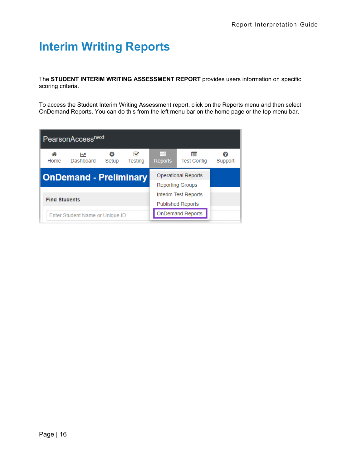## **Interim Writing Reports**

The **STUDENT INTERIM WRITING ASSESSMENT REPORT** provides users information on specific scoring criteria.

To access the Student Interim Writing Assessment report, click on the Reports menu and then select OnDemand Reports. You can do this from the left menu bar on the home page or the top menu bar.

|                      | PearsonAccess <sup>next</sup>   |       |                     |                     |                                                       |         |
|----------------------|---------------------------------|-------|---------------------|---------------------|-------------------------------------------------------|---------|
| Home                 | ∣∾<br>Dashboard                 | Setup | M<br><b>Testing</b> | E<br><b>Reports</b> | E<br><b>Test Config</b>                               | Support |
|                      | <b>OnDemand - Preliminary</b>   |       |                     |                     | <b>Operational Reports</b><br><b>Reporting Groups</b> |         |
| <b>Find Students</b> |                                 |       |                     |                     | Interim Test Reports<br><b>Published Reports</b>      |         |
|                      | Enter Student Name or Unique ID |       |                     |                     | <b>OnDemand Reports</b>                               |         |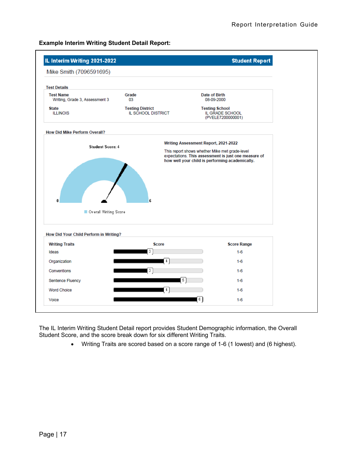**Example Interim Writing Student Detail Report:** 



The IL Interim Writing Student Detail report provides Student Demographic information, the Overall Student Score, and the score break down for six different Writing Traits.

Writing Traits are scored based on a score range of 1-6 (1 lowest) and (6 highest).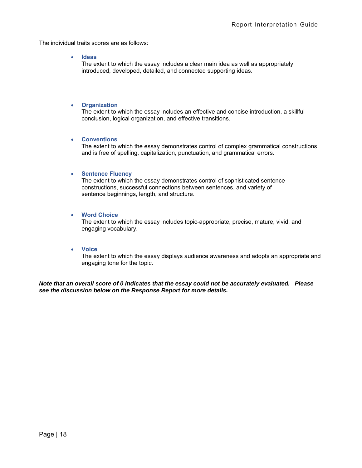The individual traits scores are as follows:

**Ideas** 

The extent to which the essay includes a clear main idea as well as appropriately introduced, developed, detailed, and connected supporting ideas.

#### **Organization**

The extent to which the essay includes an effective and concise introduction, a skillful conclusion, logical organization, and effective transitions.

#### **Conventions**

The extent to which the essay demonstrates control of complex grammatical constructions and is free of spelling, capitalization, punctuation, and grammatical errors.

#### **Sentence Fluency**

The extent to which the essay demonstrates control of sophisticated sentence constructions, successful connections between sentences, and variety of sentence beginnings, length, and structure.

#### **Word Choice**

The extent to which the essay includes topic-appropriate, precise, mature, vivid, and engaging vocabulary.

#### **Voice**

The extent to which the essay displays audience awareness and adopts an appropriate and engaging tone for the topic.

*Note that an overall score of 0 indicates that the essay could not be accurately evaluated. Please see the discussion below on the Response Report for more details.*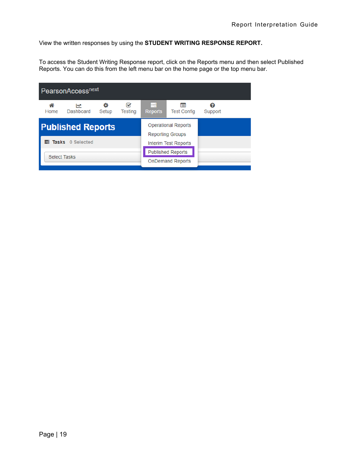View the written responses by using the **STUDENT WRITING RESPONSE REPORT.**

To access the Student Writing Response report, click on the Reports menu and then select Published Reports. You can do this from the left menu bar on the home page or the top menu bar.

|                     | PearsonAccess <sup>next</sup> |       |                     |                     |                                                       |              |  |
|---------------------|-------------------------------|-------|---------------------|---------------------|-------------------------------------------------------|--------------|--|
| Home                | ᅜ<br><b>Dashboard</b>         | Setup | ∝<br><b>Testing</b> | e<br><b>Reports</b> | B<br><b>Test Config</b>                               | ດ<br>Support |  |
|                     | <b>Published Reports</b>      |       |                     |                     | <b>Operational Reports</b><br><b>Reporting Groups</b> |              |  |
| 르                   | Tasks 0 Selected              |       |                     |                     | <b>Interim Test Reports</b>                           |              |  |
| <b>Select Tasks</b> |                               |       |                     |                     | <b>Published Reports</b>                              |              |  |
|                     |                               |       |                     |                     | <b>OnDemand Reports</b>                               |              |  |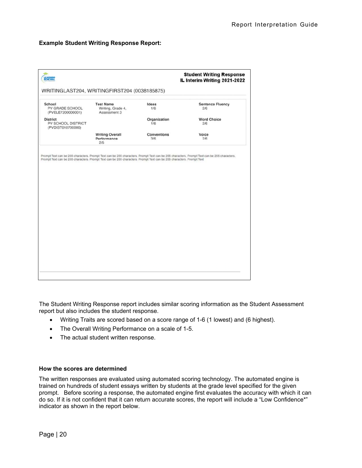#### **Example Student Writing Response Report:**

| <b>TANK</b>                                                |                                                                                                                      |                     | <b>Student Writing Response</b><br>IL Interim Writing 2021-2022                                                                             |
|------------------------------------------------------------|----------------------------------------------------------------------------------------------------------------------|---------------------|---------------------------------------------------------------------------------------------------------------------------------------------|
|                                                            | WRITINGLAST204, WRITINGFIRST204 (0038185875)                                                                         |                     |                                                                                                                                             |
| School<br>PV GRADE SCHOOL<br>(PVELE7200000001)             | <b>Test Name</b><br>Writing, Grade 4,<br>Assessment 3                                                                | Ideas<br>1/6        | <b>Sentence Fluency</b><br>2/6                                                                                                              |
| <b>District</b><br>PV SCHOOL DISTRICT<br>(PVDIST010700000) |                                                                                                                      | Organization<br>1/6 | <b>Word Choice</b><br>2/6                                                                                                                   |
|                                                            | <b>Writing Overall</b><br>Performance<br>2/5                                                                         | Conventions<br>3/6  | Voice<br>2/6                                                                                                                                |
|                                                            | Prompt Text can be 255 characters. Prompt Text can be 255 characters. Prompt Text can be 255 characters. Prompt Text |                     | Prompt Text can be 255 characters. Prompt Text can be 255 characters. Prompt Text can be 255 characters. Prompt Text can be 255 characters. |
|                                                            |                                                                                                                      |                     |                                                                                                                                             |
|                                                            |                                                                                                                      |                     |                                                                                                                                             |
|                                                            |                                                                                                                      |                     |                                                                                                                                             |
|                                                            |                                                                                                                      |                     |                                                                                                                                             |

The Student Writing Response report includes similar scoring information as the Student Assessment report but also includes the student response.

- Writing Traits are scored based on a score range of 1-6 (1 lowest) and (6 highest).
- The Overall Writing Performance on a scale of 1-5.
- The actual student written response.

#### **How the scores are determined**

The written responses are evaluated using automated scoring technology. The automated engine is trained on hundreds of student essays written by students at the grade level specified for the given prompt. Before scoring a response, the automated engine first evaluates the accuracy with which it can do so. If it is not confident that it can return accurate scores, the report will include a "Low Confidence\*" indicator as shown in the report below.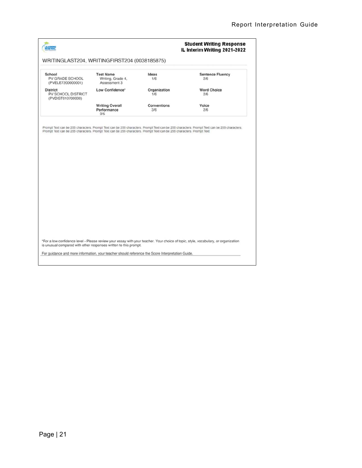| <b>LEARNING</b>                                                  |                                                       |                     | <b>Student Writing Response</b><br>IL Interim Writing 2021-2022                                                                    |
|------------------------------------------------------------------|-------------------------------------------------------|---------------------|------------------------------------------------------------------------------------------------------------------------------------|
| WRITINGLAST204, WRITINGFIRST204 (0038185875)                     |                                                       |                     |                                                                                                                                    |
| School<br>PV GRADE SCHOOL<br>(PVELE7200000001)                   | <b>Test Name</b><br>Writing, Grade 4,<br>Assessment 3 | Ideas<br>1/6        | <b>Sentence Fluency</b><br>2/6                                                                                                     |
| <b>District</b><br>PV SCHOOL DISTRICT<br>(PVDIST010700000)       | Low Confidence*                                       | Organization<br>1/6 | <b>Word Choice</b><br>2/6                                                                                                          |
|                                                                  | <b>Writing Overall</b><br>Performance<br>2/5          | Conventions<br>3/6  | Voice<br>2/6                                                                                                                       |
|                                                                  |                                                       |                     |                                                                                                                                    |
|                                                                  |                                                       |                     |                                                                                                                                    |
|                                                                  |                                                       |                     |                                                                                                                                    |
|                                                                  |                                                       |                     |                                                                                                                                    |
|                                                                  |                                                       |                     |                                                                                                                                    |
| is unusual compared with other responses written to this prompt. |                                                       |                     | *For a low confidence level - Please review your essay with your teacher. Your choice of topic, style, vocabulary, or organization |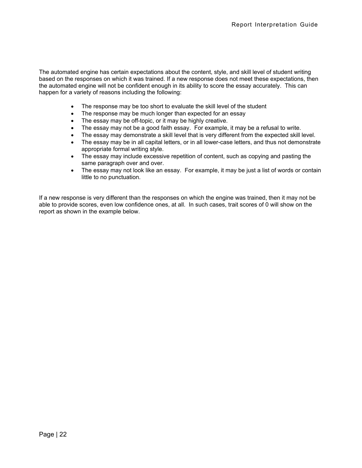The automated engine has certain expectations about the content, style, and skill level of student writing based on the responses on which it was trained. If a new response does not meet these expectations, then the automated engine will not be confident enough in its ability to score the essay accurately. This can happen for a variety of reasons including the following:

- The response may be too short to evaluate the skill level of the student
- The response may be much longer than expected for an essay
- The essay may be off-topic, or it may be highly creative.
- The essay may not be a good faith essay. For example, it may be a refusal to write.
- The essay may demonstrate a skill level that is very different from the expected skill level.
- The essay may be in all capital letters, or in all lower-case letters, and thus not demonstrate appropriate formal writing style.
- The essay may include excessive repetition of content, such as copying and pasting the same paragraph over and over.
- The essay may not look like an essay. For example, it may be just a list of words or contain little to no punctuation.

If a new response is very different than the responses on which the engine was trained, then it may not be able to provide scores, even low confidence ones, at all. In such cases, trait scores of 0 will show on the report as shown in the example below.